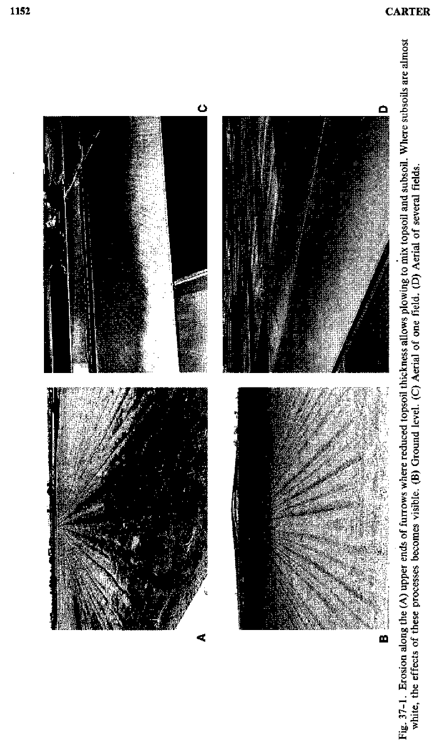

Fig. 37-1. Erosion along the (A) upper ends of furrows where reduced topsoil thickness allows plowing to mix topsoil and subsoil. Where subsoils are almost white, the effects of these processes becomes visible. (B) Ground level. (C) Aerial of one field. (D) Aerial of several fields.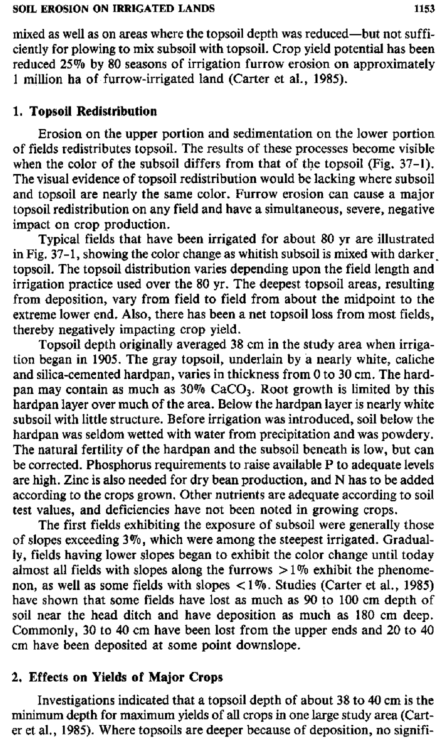mixed *as* well as on areas where the topsoil depth was reduced—but not sufficiently for plowing to mix subsoil with topsoil. Crop yield potential has been reduced 25% by 80 seasons of irrigation furrow erosion on approximately 1 million ha of furrow-irrigated land (Carter et al., 1985).

# **1. Topsoil Redistribution**

Erosion on the upper portion and sedimentation on the lower portion of fields redistributes topsoil. The results of these processes become visible when the color of the subsoil differs from that of the topsoil (Fig. 37-1). The visual evidence of topsoil redistribution would be lacking where subsoil and topsoil are nearly the same color. Furrow erosion can cause a major topsoil redistribution on any field and have a simultaneous, severe, negative impact on crop production.

Typical fields that have been irrigated for about 80 yr are illustrated in Fig. 37-1, showing the color change as whitish subsoil is mixed with darker\_ topsoil. The topsoil distribution varies depending upon the field length and irrigation practice used over the 80 yr. The deepest topsoil areas, resulting from deposition, vary from field to field from about the midpoint to the extreme lower end. Also, there has been a net topsoil loss from most fields, thereby negatively impacting crop yield.

Topsoil depth originally averaged 38 cm in the study area when irrigation began in 1905. The gray topsoil, underlain by a nearly white, caliche and silica-cemented hardpan, varies in thickness from 0 to 30 cm. The hardpan may contain as much as  $30\%$  CaCO<sub>3</sub>. Root growth is limited by this hardpan layer over much of the area. Below the hardpan layer is nearly white subsoil with little structure. Before irrigation was introduced, soil below the hardpan was seldom wetted with water from precipitation and was powdery. The natural fertility of the hardpan and the subsoil beneath is low, but can be corrected. Phosphorus requirements to raise available P to adequate levels are high. Zinc is also needed for dry bean production, and N has to be added according to the crops grown. Other nutrients are adequate according to soil test values, and deficiencies have not been noted in growing crops.

The first fields exhibiting the exposure of subsoil were generally those of slopes exceeding 3%, which were among the steepest irrigated. Gradually, fields having lower slopes began to exhibit the color change until today almost all fields with slopes along the furrows  $>1\%$  exhibit the phenomenon, as well as some fields with slopes < 1%. Studies (Carter et al., 1985) have shown that some fields have lost *as* much as 90 to 100 cm depth of soil near the head ditch and have deposition as much as 180 cm deep. Commonly, 30 to 40 cm have been lost from the upper ends and 20 to 40 cm have been deposited at some point downslope.

# **2. Effects on Yields of Major Crops**

Investigations indicated that a topsoil depth of about 38 to 40 cm is the minimum depth for maximum yields of all crops in one large study area (Carter et al., 1985). Where topsoils are deeper because of deposition, no signifi-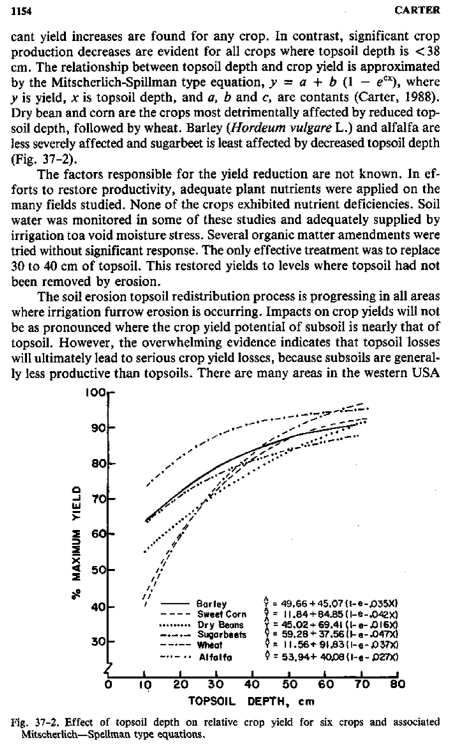cant yield increases are found for any crop. In contrast, significant crop production decreases are evident for all crops where topsoil depth is < 38 cm. The relationship between topsoil depth and crop yield is approximated by the Mitscherlich-Spillman type equation,  $y = a + b$  (1 –  $e^{cx}$ ), where *y* is yield, *x* is topsoil depth, and *a, b* and c, are contants (Carter, 1988). Dry bean and corn are the crops most detrimentally affected by reduced topsoil depth, followed by wheat. Barley *(Hordeum vulgare* L.) and alfalfa are less severely affected and sugarbeet is least affected by decreased topsoil depth (Fig. 37-2).

The factors responsible for the yield reduction are not known. In efforts to restore productivity, adequate plant nutrients were applied on the many fields studied. None of the crops exhibited nutrient deficiencies. Soil water was monitored in some of these studies and adequately supplied by irrigation toa void moisture stress. Several organic matter amendments were tried without significant response. The only effective treatment was to replace 30 to 40 cm of topsoil. This restored yields to levels where topsoil had not been removed by erosion.

The soil erosion topsoil redistribution process is progressing in all areas where irrigation furrow erosion is occurring. Impacts on crop yields will not be as pronounced where the crop yield potential of subsoil is nearly that of topsoil. However, the overwhelming evidence indicates that topsoil losses will ultimately lead to serious crop yield losses, because subsoils are generally less productive than topsoils. There are many areas in the western USA



Fig. 37-2. Effect of topsoil depth on relative crop yield for six crops and associated Mitscherlich—Spellman type equations.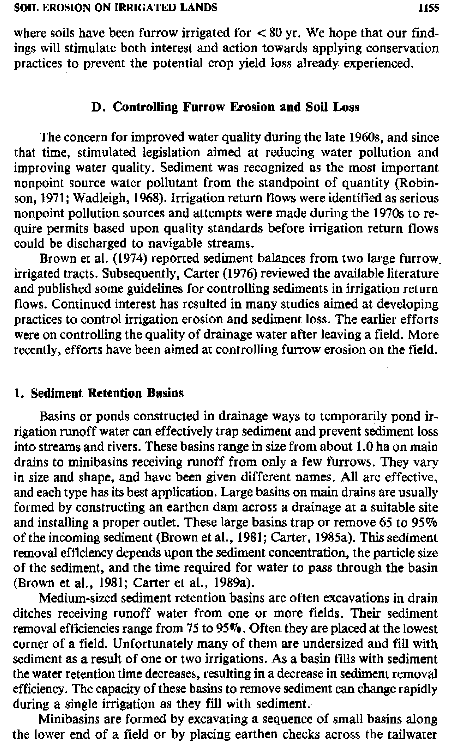where soils have been furrow irrigated for  $< 80$  yr. We hope that our findings will stimulate both interest and action towards applying conservation practices to prevent the potential crop yield loss already experienced.

# **D. Controlling Furrow Erosion and Soil Loss**

The concern for improved water quality during the late 1960s, and since that time, stimulated legislation aimed at reducing water pollution and improving water quality. Sediment was recognized as the most important nonpoint source water pollutant from the standpoint of quantity (Robinson, 1971; Wadleigh, 1968). Irrigation return flows were identified as serious nonpoint pollution sources and attempts were made during the 1970s to require permits based upon quality standards before irrigation return flows could be discharged to navigable streams.

Brown et al. (1974) reported sediment balances from two large furrow\_ irrigated tracts. Subsequently, Carter (1976) reviewed the available literature and published some guidelines for controlling sediments in irrigation return flows. Continued interest has resulted in many studies aimed at developing practices to control irrigation erosion and sediment loss. The earlier efforts were on controlling the quality of drainage water after leaving a field. More recently, efforts have been aimed at controlling furrow erosion on the field.

### 1. **Sediment Retention Basins**

Basins or ponds constructed in drainage ways to temporarily pond irrigation runoff water can effectively trap sediment and prevent sediment loss into streams and rivers. These basins range in size from about 1.0 ha on main drains to minibasins receiving runoff from only a few furrows. They vary in size and shape, and have been given different names. All are effective, and each type has its best application. Large basins on main drains are usually formed by constructing an earthen dam across a drainage at a suitable site and installing a proper outlet. These large basins trap or remove 65 to 95% of the incoming sediment (Brown et al., 1981; Carter, 1985a). This sediment removal efficiency depends upon the sediment concentration, the particle size of the sediment, and the time required for water to pass through the basin (Brown et al., 1981; Carter et al., 1989a).

Medium-sized sediment retention basins are often excavations in drain ditches receiving runoff water from one or more fields. Their sediment removal efficiencies range from 75 to 95%. Often they are placed at the lowest corner of a field. Unfortunately many of them are undersized and fill with sediment as a result of one or two irrigations. As a basin fills with sediment the water retention time decreases, resulting in a decrease in sediment removal efficiency. The capacity of these basins to remove sediment can change rapidly during a single irrigation as they fill with sediment.

Minibasins are formed by excavating a sequence of small basins along the lower end of a field or by placing earthen checks across the tailwater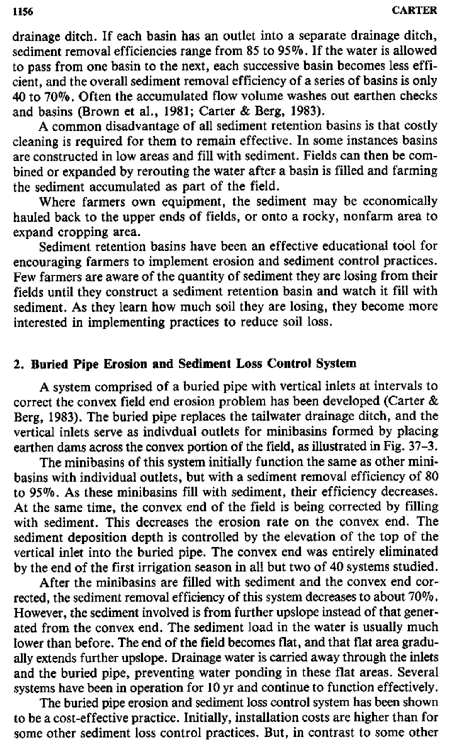drainage ditch. If each basin has an outlet into a separate drainage ditch, sediment removal efficiencies range from 85 to 95%. If the water is allowed to pass from one basin to the next, each successive basin becomes less efficient, and the overall sediment removal efficiency of a series of basins is only 40 to 70%. Often the accumulated flow volume washes out earthen checks and basins (Brown et al., 1981; Carter & Berg, 1983).

A common disadvantage of all sediment retention basins is that costly cleaning is required for them to remain effective. In some instances basins are constructed in low areas and fill with sediment. Fields can then be combined or expanded by rerouting the water after a basin is filled and farming the sediment accumulated as part of the field.

Where farmers own equipment, the sediment may be economically hauled back to the upper ends of fields, or onto a rocky, nonfarm area to expand cropping area.

Sediment retention basins have been an effective educational tool for encouraging farmers to implement erosion and sediment control practices. Few farmers are aware of the quantity of sediment they are losing from their fields until they construct a sediment retention basin and watch it fill with sediment. As they learn how much soil they are losing, they become more interested in implementing practices to reduce soil loss.

# 2. **Buried Pipe Erosion and Sediment Loss Control System**

A system comprised of a buried pipe with vertical inlets at intervals to correct the convex field end erosion problem has been developed (Carter & Berg, 1983). The buried pipe replaces the tailwater drainage ditch, and the vertical inlets serve as indivdual outlets for minibasins formed by placing earthen dams across the convex portion of the field, *as* illustrated in Fig. 37-3.

The minibasins of this system initially function the same as other minibasins with individual outlets, but with a sediment removal efficiency of 80 to 95%. As these minibasins fill with sediment, their efficiency decreases. At the same time, the convex end of the field is being corrected by filling with sediment. This decreases the erosion rate on the convex end. The sediment deposition depth is controlled by the elevation of the top of the vertical inlet into the buried pipe. The convex end was entirely eliminated by the end of the first irrigation season in all but two of 40 systems studied.

After the minibasins are filled with sediment and the convex end corrected, the sediment removal efficiency of this system decreases to about 70%. However, the sediment involved is from further upslope instead of that generated from the convex end. The sediment load in the water is usually much lower than before. The end of the field becomes flat, and that flat area gradually extends further upslope. Drainage water is carried away through the inlets and the buried pipe, preventing water ponding in these flat areas. Several systems have been in operation for 10 yr and continue to function effectively.

The buried pipe erosion and sediment loss control system has been shown to be a cost-effective practice. Initially, installation costs are higher than for some other sediment loss control practices. But, in contrast to some other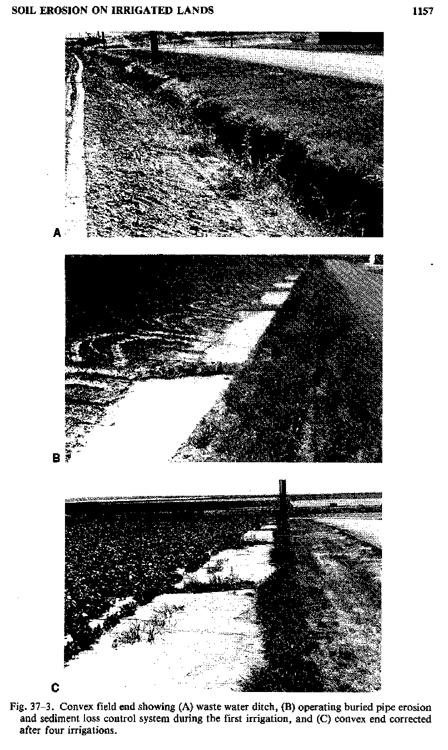

Fig. 37-3. Convex field end showing (A) waste water ditch, (B) operating buried pipe erosion and sediment loss control system during the first irrigation, and (C) convex end corrected after four irrigations.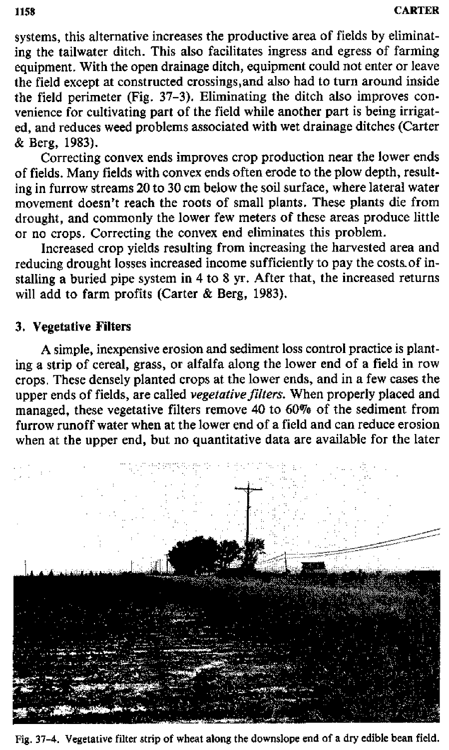systems, this alternative increases the productive area of fields by eliminating the tailwater ditch. This also facilitates ingress and egress of farming equipment. With the open drainage ditch, equipment could not enter or leave the field except at constructed crossings,and also had to turn around inside the field perimeter (Fig. 37-3). Eliminating the ditch also improves convenience for cultivating part of the field while another part is being irrigated, and reduces weed problems associated with wet drainage ditches (Carter & Berg, 1983).

Correcting convex ends improves crop production near the lower ends of fields. Many fields with convex ends often erode to the plow depth, resulting in furrow streams 20 to 30 cm below the soil surface, where lateral water movement doesn't reach the roots of small plants. These plants die from drought, and commonly the lower few meters of these areas produce little or no crops. Correcting the convex end eliminates this problem.

Increased crop yields resulting from increasing the harvested area and reducing drought losses increased income sufficiently to pay the costs of installing a buried pipe system in 4 to 8 yr. After that, the increased returns will add to farm profits (Carter & Berg, 1983).

# 3. **Vegetative Filters**

A simple, inexpensive erosion and sediment loss control practice is planting a strip of cereal, grass, or alfalfa along the lower end of a field in row crops. These densely planted crops at the lower ends, and in a few cases the upper ends of fields, are called *vegetative filters.* When properly placed and managed, these vegetative filters remove 40 to 60% of the sediment from furrow runoff water when at the lower end of a field and can reduce erosion when at the upper end, but no quantitative data are available for the later



**Fig. 37-4. Vegetative filter strip of wheat along the downslope end of a dry edible bean field.**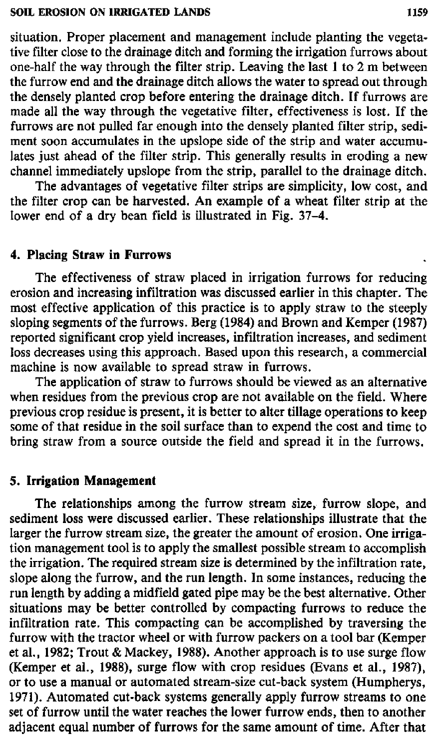situation. Proper placement and management include planting the vegetative filter close to the drainage ditch and forming the irrigation furrows about one-half the way through the filter strip. Leaving the last 1 to 2 m between the furrow end and the drainage ditch allows the water to spread out through the densely planted crop before entering the drainage ditch. If furrows are made all the way through the vegetative filter, effectiveness is lost. If the furrows are not pulled far enough into the densely planted filter strip, sediment soon accumulates in the upslope side of the strip and water accumulates just ahead of the filter strip. This generally results in eroding a new channel immediately upslope from the strip, parallel to the drainage ditch.

The advantages of vegetative filter strips are simplicity, low cost, and the filter crop can be harvested. An example of a wheat filter strip at the lower end of a dry bean field is illustrated in Fig. 37-4.

### **4. Placing Straw in Furrows**

The effectiveness of straw placed in irrigation furrows for reducing erosion and increasing infiltration was discussed earlier in this chapter. The most effective application of this practice is to apply straw to the steeply sloping segments of the furrows. Berg (1984) and Brown and Kemper (1987) reported significant crop yield increases, infiltration increases, and sediment loss decreases using this approach. Based upon this research, a commercial machine is now available to spread straw in furrows.

The application of straw to furrows should be viewed as an alternative when residues from the previous crop are not available on the field. Where previous crop residue is present, it is better to alter tillage operations to keep some of that residue in the soil surface than to expend the cost and time to bring straw from a source outside the field and spread it in the furrows.

### **5. Irrigation Management**

The relationships among the furrow stream size, furrow slope, and sediment loss were discussed earlier. These relationships illustrate that the larger the furrow stream size, the greater the amount of erosion. One irrigation management tool is to apply the smallest possible stream to accomplish the irrigation. The required stream size is determined by the infiltration rate, slope along the furrow, and the run length. In some instances, reducing the run length by adding a midfield gated pipe may be the best alternative. Other situations may be better controlled by compacting furrows to reduce the infiltration rate. This compacting can be accomplished by traversing the furrow with the tractor wheel or with furrow packers on a tool bar (Kemper et al., 1982; Trout & Mackey, 1988). Another approach is to use surge flow (Kemper et al., 1988), surge flow with crop residues (Evans et al., 1987), or to use a manual or automated stream-size cut-back system (Humpherys, 1971). Automated cut-back systems generally apply furrow streams to one set of furrow until the water reaches the lower furrow ends, then to another adjacent equal number of furrows for the same amount of time. After that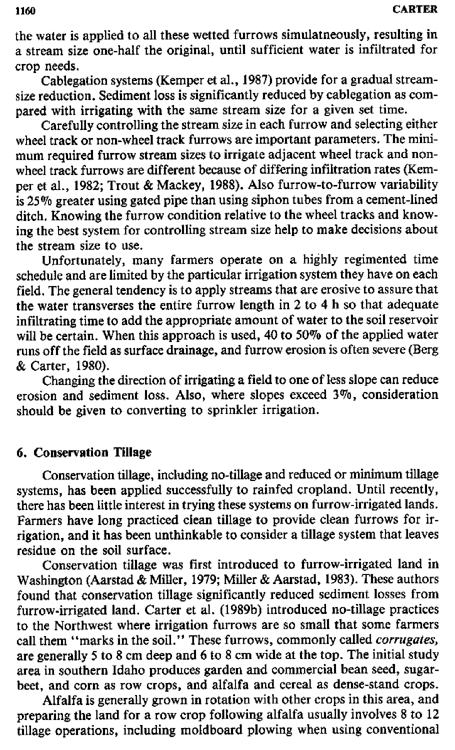the water is applied to all these wetted furrows simulatneously, resulting in a stream size one-half the original, until sufficient water is infiltrated for crop needs.

Cablegation systems (Kemper et al., 1987) provide for a gradual streamsize reduction. Sediment loss is significantly reduced by cablegation as compared with irrigating with the same stream size for a given set time.

Carefully controlling the stream size in each furrow and selecting either wheel track or non-wheel track furrows are important parameters. The minimum required furrow stream sizes to irrigate adjacent wheel track and nonwheel track furrows are different because of differing infiltration rates (Kemper et al., 1982; Trout & Mackey, 1988). Also furrow-to-furrow variability is 25% greater using gated pipe than using siphon tubes from a cement-lined ditch. Knowing the furrow condition relative to the wheel tracks and knowing the best system for controlling stream size help to make decisions about the stream size to use.

Unfortunately, many farmers operate on a highly regimented time schedule and are limited by the particular irrigation system they have on each field. The general tendency is to apply streams that are erosive to assure that the water transverses the entire furrow length in 2 to 4 h so that adequate infiltrating time to add the appropriate amount of water to the soil reservoir will be certain. When this approach is used, 40 to 50% of the applied water runs off the field as surface drainage, and furrow erosion is often severe (Berg & Carter, 1980).

Changing the direction of irrigating a field to one of less slope can reduce erosion and sediment loss. Also, where slopes exceed 3%, consideration should be given to converting to sprinkler irrigation.

# **6. Conservation Tillage**

Conservation tillage, including no-tillage and reduced or minimum tillage systems, has been applied successfully to rainfed cropland. Until recently, there has been little interest in trying these systems on furrow-irrigated lands. Farmers have long practiced clean tillage to provide clean furrows for irrigation, and it has been unthinkable to consider a tillage system that leaves residue on the soil surface.

Conservation tillage was first introduced to furrow-irrigated land in Washington (Aarstad & Miller, 1979; Miller & Aarstad, 1983). These authors found that conservation tillage significantly reduced sediment losses from furrow-irrigated land. Carter et al. (1989b) introduced no-tillage practices to the Northwest where irrigation furrows are so small that some farmers call them "marks in the soil." These furrows, commonly called *corrugates, are* generally 5 to 8 cm deep and 6 to 8 cm wide at the top. The initial study area in southern Idaho produces garden and commercial bean seed, sugarbeet, and corn as row crops, and alfalfa and cereal as dense-stand crops.

Alfalfa is generally grown in rotation with other crops in this area, and preparing the land for a row crop following alfalfa usually involves 8 to 12 tillage operations, including moldboard plowing when using conventional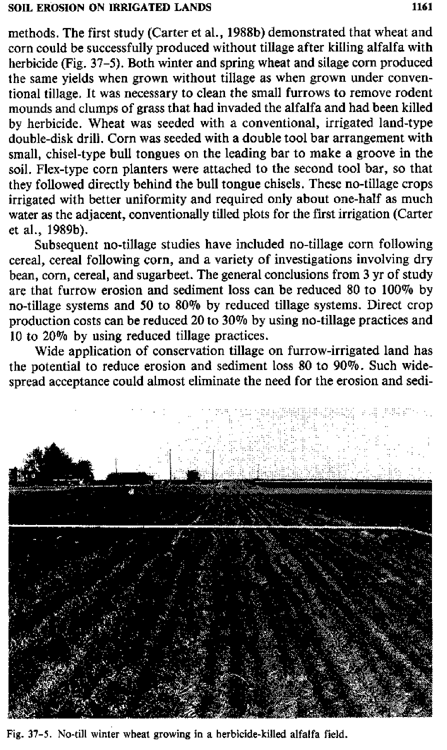methods. The first study (Carter et al., 1988b) demonstrated that wheat and corn could be successfully produced without tillage after killing alfalfa with herbicide (Fig. 37–5). Both winter and spring wheat and silage corn produced the same yields when grown without tillage as when grown under conventional tillage. It was necessary to clean the small furrows to remove rodent mounds and clumps of grass that had invaded the alfalfa and had been killed by herbicide. Wheat was seeded with a conventional, irrigated land-type double-disk drill. Corn was seeded with a double tool bar arrangement with small, chisel-type bull tongues on the leading bar to make a groove in the soil. Flex-type corn planters were attached to the second tool bar, so that they followed directly behind the bull tongue chisels. These no-tillage crops irrigated with better uniformity and required only about one-half as much water as the adjacent, conventionally tilled plots for the first irrigation (Carter et al., 1989b).

Subsequent no-tillage studies have included no-tillage corn following cereal, cereal following corn, and a variety of investigations involving dry bean, corn, cereal, and sugarbeet. The general conclusions from 3 yr of study are that furrow erosion and sediment loss can be reduced 80 to 100% by no-tillage systems and 50 to 80% by reduced tillage systems. Direct crop production costs can be reduced 20 to 30% by using no-tillage practices and 10 to 20% by using reduced tillage practices.

Wide application of conservation tillage on furrow-irrigated land has the potential to reduce erosion and sediment loss 80 to 90%. Such widespread acceptance could almost eliminate the need for the erosion and sedi-



Fig. 37-5. No-till winter wheat growing in a herbicide-killed alfalfa field.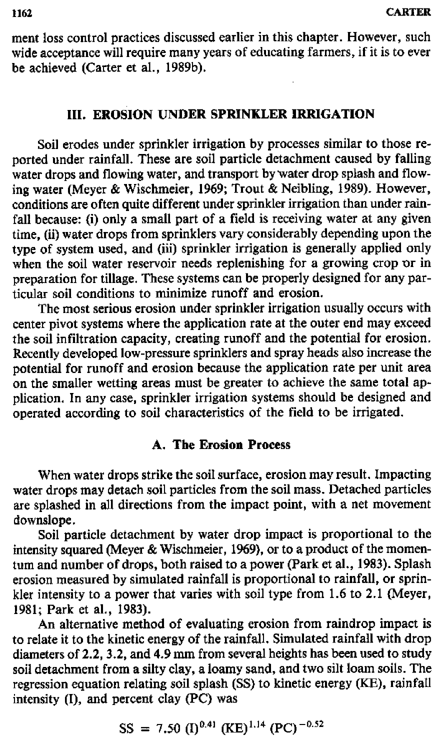ment loss control practices discussed earlier in this chapter. However, such wide acceptance will require many years of educating farmers, if it is to ever be achieved (Carter et al., 1989b).

# **III. EROSION UNDER SPRINKLER IRRIGATION**

Soil erodes under sprinkler irrigation by **processes similar** to those reported under rainfall. These are soil particle detachment caused by falling water drops and flowing water, and transport by water drop splash and flowing water (Meyer & Wischmeier, 1969; Trout & Neibling, 1989). However, conditions are often quite different under sprinkler irrigation than under rainfall because: (i) only a small part of a field is receiving water at any given time, (ii) water drops from sprinklers vary considerably depending upon the type of system used, and (iii) sprinkler irrigation is generally applied only when the soil water reservoir needs replenishing for a growing crop or in preparation for tillage. These systems can be properly designed for any particular soil conditions to minimize runoff and erosion.

The most serious erosion under sprinkler irrigation usually occurs with center pivot systems where the application rate at the outer end may exceed the soil infiltration capacity, creating runoff and the potential for erosion. Recently developed low-pressure sprinklers and spray heads also increase the potential for runoff and erosion because the application rate per unit area on the smaller wetting areas must be greater to achieve the same total application. In any case, sprinkler irrigation systems should be designed and operated according to soil characteristics of the field to be irrigated.

# A. **The Erosion Process**

When water drops strike the soil surface, erosion may result. Impacting water drops may detach soil particles from the soil mass. Detached particles are splashed in all directions from the impact point, with a net movement downslope.

Soil particle detachment by water drop impact is proportional to the intensity squared (Meyer & Wischmeier, 1969), or to a product of the momentum and number of drops, both raised to a power (Park et al., 1983). Splash erosion measured by simulated rainfall is proportional to rainfall, or sprinkler intensity to a power that varies with soil type from 1.6 to 2.1 (Meyer, 1981; Park et al., 1983).

An alternative method of evaluating erosion from raindrop impact is to relate it to the kinetic energy of the rainfall. Simulated rainfall with drop diameters of 2.2, 3.2, and 4.9 mm from several heights has been used to study soil detachment from a silty clay, a loamy sand, and two silt loam soils. The regression equation relating soil splash (SS) to kinetic energy (KE), rainfall intensity (I), and percent clay (PC) was

$$
SS = 7.50 (I)^{0.41} (KE)^{1.14} (PC)^{-0.52}
$$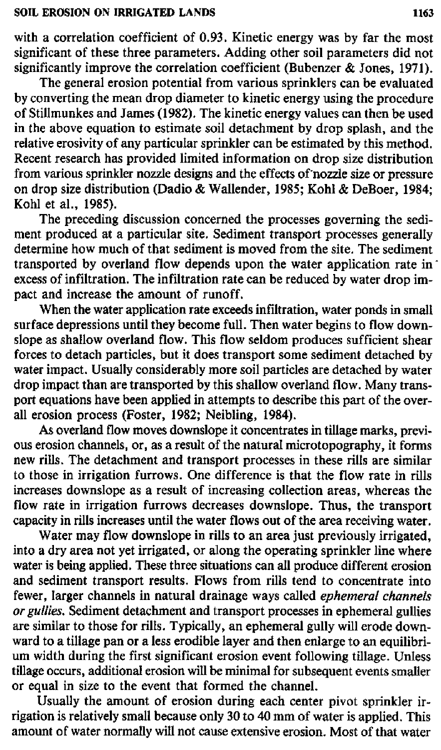with a correlation coefficient of 0.93. Kinetic energy was by far the most significant of these three parameters. Adding other soil parameters did not significantly improve the correlation coefficient (Bubenzer & Jones, 1971).

The general erosion potential from various sprinklers can be evaluated by converting the mean drop diameter to kinetic energy using the procedure of StilImunkes and James (1982). The kinetic energy values can then be used in the above equation to estimate soil detachment by drop splash, and the relative erosivity of any particular sprinkler can be estimated by this method. Recent research has provided limited information on drop size distribution from various sprinkler nozzle designs and the effects of nozzle size or pressure on drop size distribution (Dadio & Wallender, 1985; Kohl & DeBoer, 1984; Kohl et al., 1985).

The preceding discussion concerned the processes governing the sediment produced at a particular site. Sediment transport processes generally determine how much of that sediment is moved from the site. The sediment transported by overland flow depends upon the water application rate in excess of infiltration. The infiltration rate can be reduced by water drop impact and increase the amount of runoff.

When the water application rate exceeds infiltration, water ponds in small surface depressions until they become full. Then water begins to flow downslope as shallow overland flow. This flow seldom produces sufficient shear forces to detach particles, but it does transport some sediment detached by water impact. Usually considerably more soil particles are detached by water drop impact than are transported by this shallow overland flow. Many transport equations have been applied in attempts to describe this part of the overall erosion process (Foster, 1982; Neibling, 1984).

As overland flow moves downslope it concentrates in tillage marks, previous erosion channels, or, as a result of the natural microtopography, it forms new rills. The detachment and transport processes in these rills are similar to those in irrigation furrows. One difference is that the flow rate in rills increases downslope as a result of increasing collection areas, whereas the flow rate in irrigation furrows decreases downslope. Thus, the transport capacity in rills increases until the water flows out of the area receiving water.

Water may flow downslope in rills to an area just previously irrigated, into a dry area not yet irrigated, or along the operating sprinkler line where water is being applied. These three situations can all produce different erosion and sediment transport results. Flows from rills tend to concentrate into fewer, larger channels in natural drainage ways called *ephemeral channels or gullies.* Sediment detachment and transport processes in ephemeral gullies are similar to those for rills. Typically, an ephemeral gully will erode downward to a tillage pan or a less erodible layer and then enlarge to an equilibrium width during the first significant erosion event following tillage. Unless **tillage** occurs, additional erosion will be minimal for subsequent events smaller or equal in size to the event that formed the channel.

Usually the amount of erosion during each center pivot sprinkler irrigation is relatively small because only 30 to 40 mm of water is applied. This amount of water normally will not cause extensive erosion. Most of that water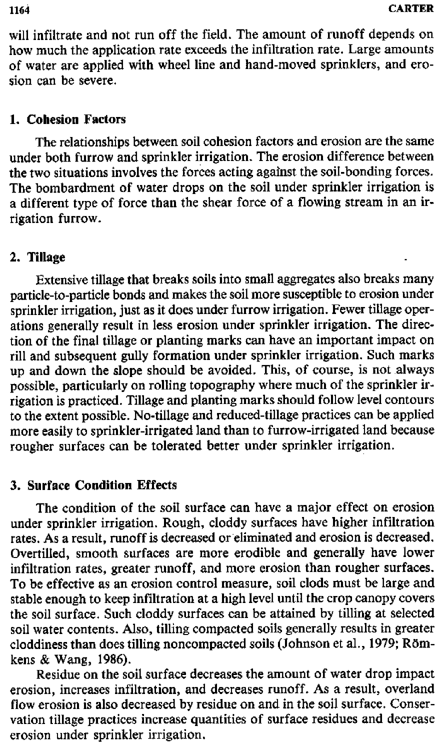will infiltrate and not run off the field. The amount of runoff depends on how much the application rate exceeds the infiltration rate. Large amounts of water are applied with wheel line and hand-moved sprinklers, and erosion can be severe.

## **1. Cohesion Factors**

The relationships between soil cohesion factors and erosion are the same under both furrow and sprinkler irrigation. The erosion difference between the two situations involves the forces acting against the soil-bonding forces. The bombardment of water drops on the soil under sprinkler irrigation is a different type of force than the shear force of a flowing stream in an irrigation furrow.

## **2. Tillage**

Extensive tillage that breaks soils into small aggregates also breaks many particle-to-particle bonds and makes the soil more susceptible to erosion under sprinkler irrigation, just as it does under furrow irrigation. Fewer tillage operations generally result in less erosion under sprinkler irrigation. The direction of the final tillage or planting marks can have an important impact on rill and subsequent gully formation under sprinkler irrigation. Such marks up and down the slope should be avoided. This, of course, is not always possible, particularly on rolling topography where much of the sprinkler irrigation is practiced. Tillage and planting marks should follow level contours to the extent possible. No-tillage and reduced-tillage practices can be applied more easily to sprinkler-irrigated land than to furrow-irrigated land because rougher surfaces can be tolerated better under sprinkler irrigation.

# **3. Surface Condition Effects**

The condition of the soil surface can have a major effect on erosion under sprinkler irrigation. Rough, cloddy surfaces have higher infiltration rates. As a result, runoff is decreased or eliminated and erosion is decreased. Overfilled, smooth surfaces are more erodible and generally have lower infiltration rates, greater runoff, and more erosion than rougher surfaces. To be effective as an erosion control measure, soil clods must be large and stable enough to keep infiltration at a high level until the crop canopy covers the soil surface. Such cloddy surfaces can be attained by tilling at selected soil water contents. Also, tilling compacted soils generally results in greater cloddiness than does tilling noncompacted soils (Johnson et al., 1979; Römkens & Wang, 1986).

Residue on the soil surface decreases the amount of water drop impact erosion, increases infiltration, and decreases runoff. As a result, overland flow erosion is also decreased by residue on and in the soil surface. Conservation tillage practices increase quantities of surface residues and decrease erosion under sprinkler irrigation.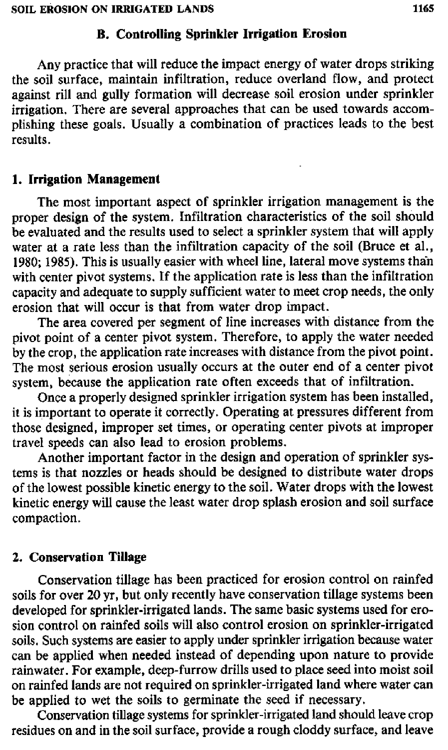### **B. Controlling Sprinkler Irrigation Erosion**

Any practice that will reduce the impact energy of water drops striking the soil surface, maintain infiltration, reduce overland flow, and protect against rill and gully formation will decrease soil erosion under sprinkler irrigation. There are several approaches that can be used towards accomplishing these goals. Usually a combination of practices leads to the best results.

## **1. Irrigation Management**

The most important aspect of sprinkler irrigation management is the proper design of the system. Infiltration characteristics of the soil should be evaluated and the results used to select a sprinkler system that will apply water at a rate less than the infiltration capacity of the soil (Bruce et al., 1980; 1985). This is usually easier with wheel line, lateral move systems than with center pivot systems. If the application rate is less than the infiltration capacity and adequate to supply sufficient water to meet crop needs, the only erosion that will occur is that from water drop impact.

The area covered per segment of line increases with distance from the pivot point of a center pivot system. Therefore, to apply the water needed by the crop, the application rate increases with distance from the pivot point. The most serious erosion usually occurs at the outer end of a center pivot system, because the application rate often exceeds that of infiltration.

Once a properly designed sprinkler irrigation system has been installed, it is important to operate it correctly. Operating at pressures different from those designed, improper set times, or operating center pivots at improper travel speeds can also lead to erosion problems.

Another important factor in the design and operation of sprinkler systems is that nozzles or heads should be designed to distribute water drops of the lowest possible kinetic energy to the soil. Water drops with the lowest kinetic energy will cause the least water drop splash erosion and soil surface compaction.

### **2. Conservation Tillage**

Conservation tillage has been practiced for erosion control on rainfed soils for over 20 yr, but only recently have conservation tillage systems been developed for sprinkler-irrigated lands. The same basic systems used for erosion control on rainfed soils will also control erosion on sprinkler-irrigated soils. Such systems are easier to apply under sprinkler irrigation because water can be applied when needed instead of depending upon nature to provide rainwater. For example, deep-furrow drills used to place seed into moist soil on rainfed lands are not required on sprinkler-irrigated land where water can be applied to wet the soils to germinate the seed if necessary.

Conservation tillage systems for sprinkler-irrigated land should leave crop residues on and in the soil surface, provide a rough cloddy surface, and leave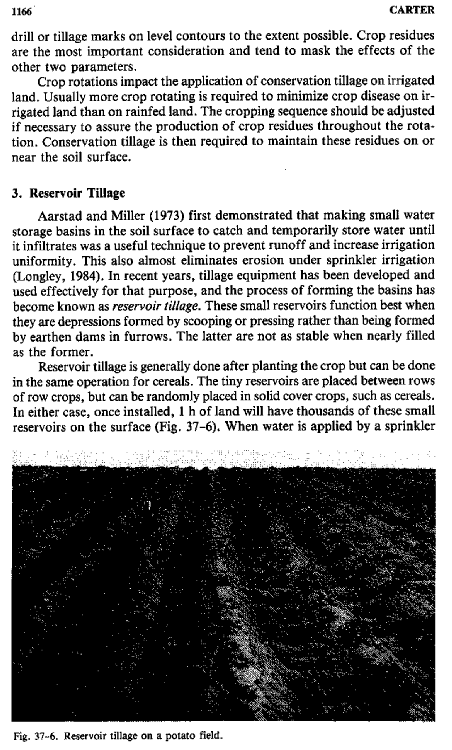drill or tillage marks on level contours to the extent possible. Crop residues are the most important consideration and tend to mask the effects of the other two parameters.

Crop rotations impact the application of conservation tillage on irrigated land. Usually more crop rotating is required to minimize crop disease on irrigated land than on rainfed land. The cropping sequence should be adjusted if necessary to assure the production of crop residues throughout the rotation. Conservation tillage is then required to maintain these residues on or near the soil surface.

### 3. **Reservoir Tillage**

Aarstad and Miller (1973) first demonstrated that making small water storage basins in the soil surface to catch and temporarily store water until it infiltrates was a useful technique to prevent runoff and increase irrigation uniformity. This also almost eliminates erosion under sprinkler irrigation (Longley, 1984). In recent years, tillage equipment has been developed and used effectively for that purpose, and the process of forming the basins has become known as *reservoir tillage.* These small reservoirs function best when they are depressions formed by scooping or pressing rather than being formed by earthen dams in furrows. The latter are not as stable when nearly filled as the former.

Reservoir tillage is generally done after planting the crop but can be done in the same operation for cereals. The tiny reservoirs are placed between rows of row crops, but can be randomly placed in solid cover crops, such as cereals. In either case, once installed, 1 h of land will have thousands of these small reservoirs on the surface (Fig. 37-6). When water is applied by a sprinkler



Fig. 37-6. Reservoir tillage on a potato field.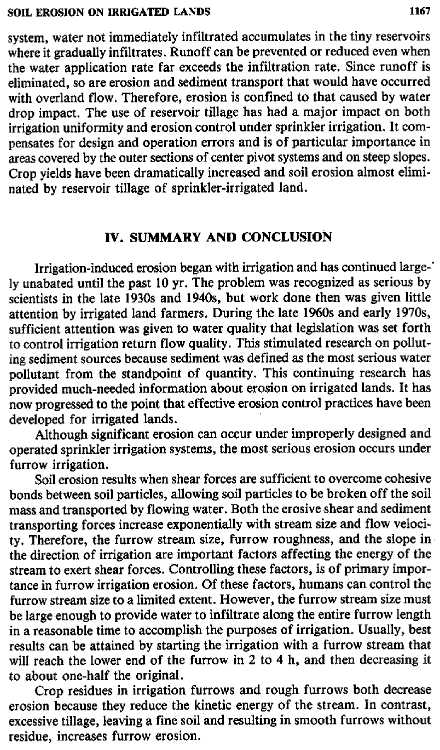system, water not immediately infiltrated accumulates in the tiny reservoirs where it gradually infiltrates. Runoff can be prevented or reduced even when the water application rate far exceeds the infiltration rate. Since runoff is eliminated, so are erosion and sediment transport that would have occurred with overland flow. Therefore, erosion is confined to that caused by water drop impact. The use of reservoir tillage has had a major impact on both irrigation uniformity and erosion control under sprinkler irrigation. It compensates for design and operation errors and is of particular importance in areas covered by the outer sections of center pivot systems and on steep slopes. Crop yields have been dramatically increased and soil erosion almost eliminated by reservoir tillage of sprinkler-irrigated land.

## **IV. SUMMARY AND CONCLUSION**

Irrigation-induced erosion began with irrigation and has continued large-' ly unabated until the past 10 yr. The problem was recognized as serious by scientists in the late 1930s and 1940s, but work done then was given little attention by irrigated land farmers. During the late 1960s and early 1970s, sufficient attention was given to water quality that legislation was set forth to control irrigation return flow quality. This stimulated research on polluting sediment sources because sediment was defined *as the* most serious water pollutant from the standpoint of quantity. This continuing research has provided much-needed information about erosion on irrigated lands. It has now progressed to the point that effective erosion control practices have been developed for irrigated lands.

Although significant erosion can occur under improperly designed and operated sprinkler irrigation systems, the most serious erosion occurs under furrow irrigation.

Soil erosion results when shear forces are sufficient to overcome cohesive bonds between soil particles, allowing soil particles to be broken off the soil mass and transported by flowing water. Both the erosive shear and sediment transporting forces increase exponentially with stream size and flow velocity. Therefore, the furrow stream size, furrow roughness, and the slope in the direction of irrigation are important factors affecting the energy of the stream to exert shear forces. Controlling these factors, is of primary importance in furrow irrigation erosion. Of these factors, humans can control the furrow stream size to a limited extent. However, the furrow stream size must be large enough to provide water to infiltrate along the entire furrow length in a reasonable time to accomplish the purposes of irrigation. Usually, best results can be attained by starting the irrigation with a furrow stream that will reach the lower end of the furrow in 2 to 4 h, and then decreasing it to about one-half the original.

Crop residues in irrigation furrows and rough furrows both decrease erosion because they reduce the kinetic energy of the stream. In contrast, excessive tillage, leaving a fine soil and resulting in smooth furrows without residue, increases furrow erosion.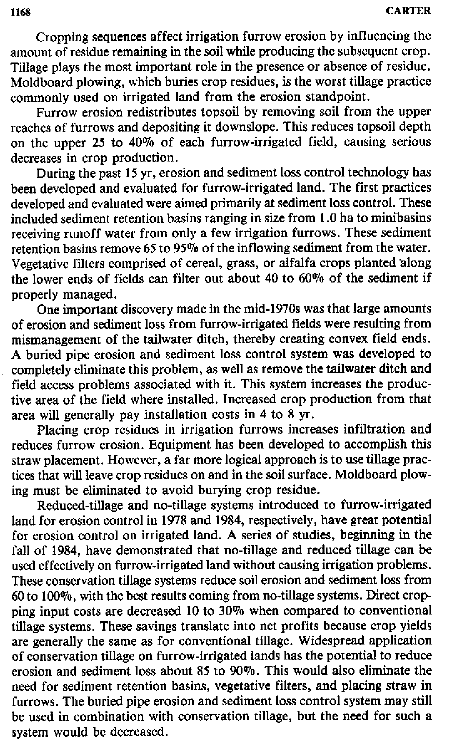**1168 CARTER**

Cropping sequences affect irrigation furrow erosion by influencing the amount of residue remaining in the soil while producing the subsequent crop. Tillage plays the most important role in the presence or absence of residue. Moldboard plowing, which buries crop residues, is the worst tillage practice commonly used on irrigated land from the erosion standpoint.

Furrow erosion redistributes topsoil by removing soil from the upper reaches of furrows and depositing it downslope. This reduces topsoil depth on the upper 25 to 40% of each furrow-irrigated field, causing serious decreases in crop production.

During the past 15 yr, erosion and sediment loss control technology has been developed and evaluated for furrow-irrigated land. The first practices developed and evaluated were aimed primarily at sediment loss control. These included sediment retention basins ranging in size from 1.0 ha to minibasins receiving runoff water from only a few irrigation furrows. These sediment retention basins remove 65 to 95% of the inflowing sediment from the water. Vegetative filters comprised of cereal, grass, or alfalfa crops planted along the lower ends of fields can filter out about 40 to 60% of the sediment if properly managed.

One important discovery made in the mid-1970s was that large amounts of erosion and sediment loss from furrow-irrigated fields were resulting from mismanagement of the tailwater ditch, thereby creating convex field ends. A buried pipe erosion and sediment loss control system was developed to completely eliminate this problem, as well as remove the tailwater ditch and field access problems associated with it. This system increases the productive area of the field where installed. Increased crop production from that area will generally pay installation costs in 4 to 8 yr.

Placing crop residues in irrigation furrows increases infiltration and reduces furrow erosion. Equipment has been developed to accomplish this straw placement. However, a far more logical approach is to use tillage practices that will leave crop residues on and in the soil surface. Moldboard plowing must be eliminated to avoid burying crop residue.

Reduced-tillage and no-tillage systems introduced to furrow-irrigated land for erosion control in 1978 and 1984, respectively, have great potential for erosion control on irrigated land. A series of studies, beginning in the fall of 1984, have demonstrated that no-tillage and reduced tillage can be used effectively on furrow-irrigated land without causing irrigation problems. These conservation tillage systems reduce soil erosion and sediment loss from 60 to 100%, with the best results coming from no-tillage systems. Direct cropping input costs are decreased 10 to 30% when compared to conventional tillage systems. These savings translate into net profits because crop yields are generally the same as for conventional tillage. Widespread application of conservation tillage on furrow-irrigated lands has the potential to reduce erosion and sediment loss about 85 to 90%. This would also eliminate the need for sediment retention basins, vegetative filters, and placing straw in furrows. The buried pipe erosion and sediment loss control system may still be used in combination with conservation tillage, but the need for such a system would be decreased.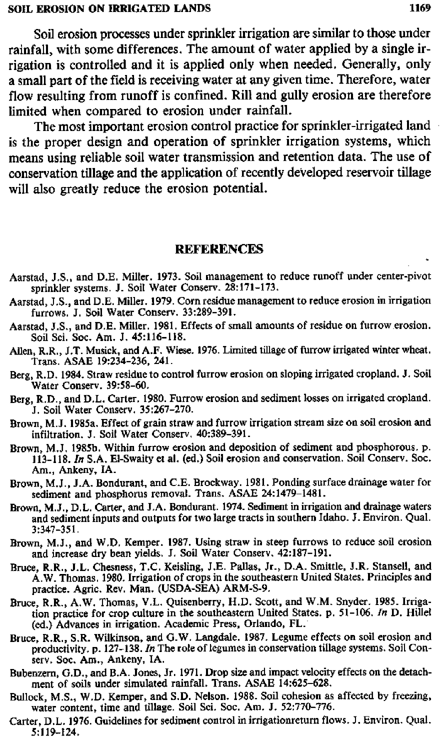Soil erosion processes under sprinkler irrigation are similar to those under rainfall, with some differences. The amount of water applied by a single irrigation is controlled and it is applied only when needed. Generally, only a small part of the field is receiving water at any given time. Therefore, water flow resulting from runoff is confined. Rill and gully erosion are therefore limited when compared to erosion under rainfall.

The most important erosion control practice for sprinkler-irrigated land is the proper design and operation of sprinkler irrigation systems, which means using reliable soil water transmission and retention data. The use of conservation tillage and the application of recently developed reservoir tillage will also greatly reduce the erosion potential.

## **REFERENCES**

- Aarstad, J.S,, and D.E. Miller. 1973. Soil management to reduce runoff under center-pivot sprinkler systems. J. Soil Water Conserv. 28:171-173.
- Aarstad, J.S., and D.E. Miller. 1979. Corn residue management to reduce erosion in irrigation furrows. J. Soil Water Conserv. 33:289-391.
- Aarstad, J.S., and D.E. Miller. 1981. Effects of small amounts of residue on furrow erosion. Soil Sci. Soc. Am. J. 45:116-118.
- Allen, R.R., J.T. Musick, and A.F. Wiese. 1976. Limited tillage of furrow irrigated winter wheat. Trans. ASAE 19:234-236, 241.
- Berg, R.D. 1984. Straw residue to control furrow erosion on sloping irrigated cropland. J. Soil Water Conserv. 39:58-60.
- **Berg, R.D.,** and D.L. Carter. 1980. Furrow erosion and sediment losses on irrigated cropland. J. Soil Water Conserv. 35:267-270.
- Brown, M.J. 1985a. Effect of grain straw and furrow irrigation stream size on soil erosion and infiltration. J. Soil Water Conserv. 40:389-391.
- Brown, M.J. 1985b. Within furrow erosion and deposition of sediment and phosphorous. p. 113-118. *In* S.A. El-Swaity et **al.** (ed.) Soil erosion and conservation. Soil Conserv. Soc. Am., Ankeny, IA.
- Brown, M.J., J.A. Bondurant, and C.E. Brockway. 1981. Ponding surface drainage water for sediment and phosphorus removal. Trans. ASAE 24:1479-1481.
- Brown, M.J., D.L. Carter, and J.A. Bondurant. 1974. Sediment in irrigation and drainage waters and sediment inputs and outputs for two large tracts in southern Idaho. J. Environ. Qual. 3:347-351.
- Brown, M.J., and W.D. Kemper. 1987. Using straw in steep furrows to reduce soil erosion and increase dry bean yields. J. Soil Water Conserv. 42:187-191.
- Bruce, R.R., J.L. Chesness, T.C. Keisling, I.E. Pallas, Jr., D.A. Smittle, J.R. Stansell, and A.W. Thomas. 1980. Irrigation of crops in the southeastern United States. Principles and practice. Agric. Rev. Man. (USDA-SEA) ARM-S-9.
- Bruce, R.R., A.W. Thomas, V.L. Quisenberry, H.D. Scott, and W.M. Snyder. 1985. Irrigation practice for crop culture in the southeastern United States. p. 51-106. *In* D. Hillei (ed.) Advances in irrigation. Academic Press, Orlando, FL.
- Bruce, R.R., S.R. Wilkinson, and G.W. Langdale. 1987. Legume effects on soil erosion and productivity. p. 127-138. In The role of legumes in conservation tillage systems. Soil Conserv. Soc. Am., Ankeny, IA.
- Bubenzern, G.D., and B.A. Jones, Jr. 1971. Drop size and impact velocity effects on the detachment of soils under simulated rainfall. Trans. ASAE 14:625-628.
- Bullock, M.S., W.D. Kemper, and S.D. Nelson. 1988. Soil cohesion as affected by freezing, water content, time and tillage. Soil Sci. Soc. Am. J. 52:770-776.
- Carter, D.L. 1976. Guidelines for sediment control in irrigationreturn flows. J. Environ. Qual. 5:119-124.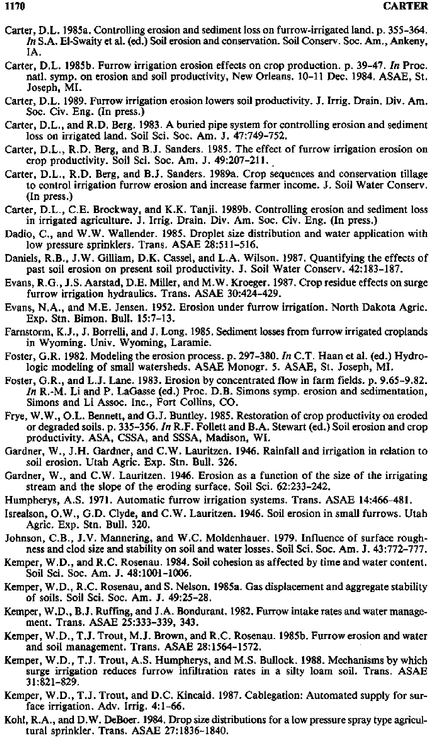- Carter, D.L. 1985a. Controlling erosion and sediment loss on furrow-irrigated land. p. 355-364. *In* S.A. El-Swaity et al. (ed.) Soil erosion and conservation. Soil Conserv. Soc. Am., Ankeny, IA.
- Carter, D.L. 1985b. Furrow irrigation erosion effects on crop production. p. 39-47. *In* Proc. natl. symp. on erosion and soil productivity, New Orleans. 10-11 Dec. 1984. ASAE, St. Joseph, MI.
- Carter, D.L. 1989. Furrow irrigation erosion lowers soil productivity. J. Irrig. Drain. Div. Am. Soc. Civ. Eng. (In press.)
- Carter, D.L., and R.D. Berg, 1983. A buried pipe system for controlling erosion and sediment loss on irrigated land. Soil Sci. Soc. Am. J. 47:749-752.
- Carter, D.L., **R.D.** Berg, and B.J. Sanders. 1985. The effect of furrow irrigation erosion on crop productivity. Soil Sci. Soc. Am. J. 49:207-211.
- Carter, D.L., R.D. Berg, and B.J. Sanders. 1989a. Crop sequences and conservation tillage to control irrigation furrow erosion and increase farmer income. J. Soil Water Conserv. (In press.)
- Carter, D.L., C.E. Brockway, and K.K. Tanji. 1989b. Controlling erosion and sediment loss in irrigated agriculture. J. Irrig. Drain. Div. Am. Soc. Civ. Eng. (In press.)
- Dadio, C., and W.W. Wallender. 1985. Droplet size distribution and water application with low pressure sprinklers. Trans. ASAE 28:511-516.
- Daniels, R.B., J.W. Gilliam, D.K. Cassel, and L.A. Wilson. 1987. Quantifying the effects of past soil erosion on present soil productivity. J. Soil Water Conserv. 42:183-187.
- Evans, **R.G., J.S.** Aarstad, D.E. Miller, and M.W. Kroeger. 1987. Crop residue effects on surge furrow irrigation hydraulics. Trans. ASAE 30:424-429.
- Evans, N.A., and M.E. Jensen. 1952. Erosion under furrow irrigation. North Dakota Agric. Exp. Stn. Bimon. Bull. 15:7-13.
- Farnstorm, K.J., *S.* Borrelli, and J. Long. 1985. Sediment losses from furrow irrigated croplands in Wyoming. Univ. Wyoming, Laramie.
- Foster, G.R. 1982. Modeling the erosion process. p. 297-380. In C.T. Haan et al. (ed.) Hydrologic modeling of small watersheds. ASAE Monogr. 5. ASAE, St. Joseph, MI.
- Foster, G.R., and L.J. Lane. 1983. Erosion by concentrated flow in farm fields. p. 9.65-9.82. *In R.-M.* Li and P. LaGasse (ed.) Proc. D.B. Simons symp. erosion and sedimentation, Simons and Li **Assoc.** Inc., Fort Collins, CO.
- Frye, W.W., O.L. Bennett, and G.J. Buntley. 1985. Restoration of crop productivity on eroded or degraded soils. p. 335-356. *In* R.F. Follett and B.A. Stewart (ed.) Soil erosion and crop productivity. ASA, CSSA, and SSSA, Madison, WI.
- Gardner, W., J.H. Gardner, and C.W. Lauritzen. 1946. Rainfall and irrigation in relation to soil erosion. Utah Agric. Exp. Stn. Bull. 326.
- Gardner, W., and C.W. Lauritzen. 1946. Erosion as a function of the size of the irrigating stream and the slope of the eroding surface. Soil Sci. 62:233-242.
- Humpherys, A.S. 1971. Automatic furrow irrigation systems. Trans. ASAE 14:466-481.
- Isrealson, 0.W., G.D. Clyde, and C.W. Lauritzen. 1946. Soil erosion in small furrows. Utah Agric. Exp. Stn. Bull. 320.
- Johnson, C.B., J.V. Mannering, and W.C. Moldenhauer. 1979. Influence of surface roughness and clod size and stability on soil and water losses. Soil Sci. Soc. Am. J. 43:772-777.
- Kemper, W.D., and R.C. Rosenau. 1984. Soil cohesion as affected by time and water content. Soil Sci. Soc. Am. J. 48:1001-1006.
- Kemper, W.D., B.C. Rosenau, and S. Nelson. 1985a. Gas displacement and aggregate stability of soils. Soil Sci. Soc. Am. *J.* 49:25-28.
- Kemper, W.D., B.J. Buffing, and J.A. Bondurant. 1982. Furrow intake rates and water management. Trans. ASAE 25:333-339, 343.
- Kemper, W.D., T.J. Trout, M.J. Brown, and R.C. Rosenau. 1985b. Furrow erosion and water and soil management. Trans. ASAE 28:1564-1572.
- Kemper, W.D., T.J. Trout, A.S. Humpherys, and M.S. Bullock. 1988. Mechanisms by which surge irrigation reduces furrow infiltration rates in a silty loam soil. Trans. ASAE 31:821-829,
- Kemper, W.D., T.J. Trout, and D.C. Kincaid. 1987. Cablegation: Automated supply for surface irrigation. Adv. Irrig. 4:1-66.
- Kohl, R.A., and D.W. DeBoer. 1984. Drop size distributions for a low pressure spray type agricultural sprinkler. Trans. ASAE 27:1836-1840.